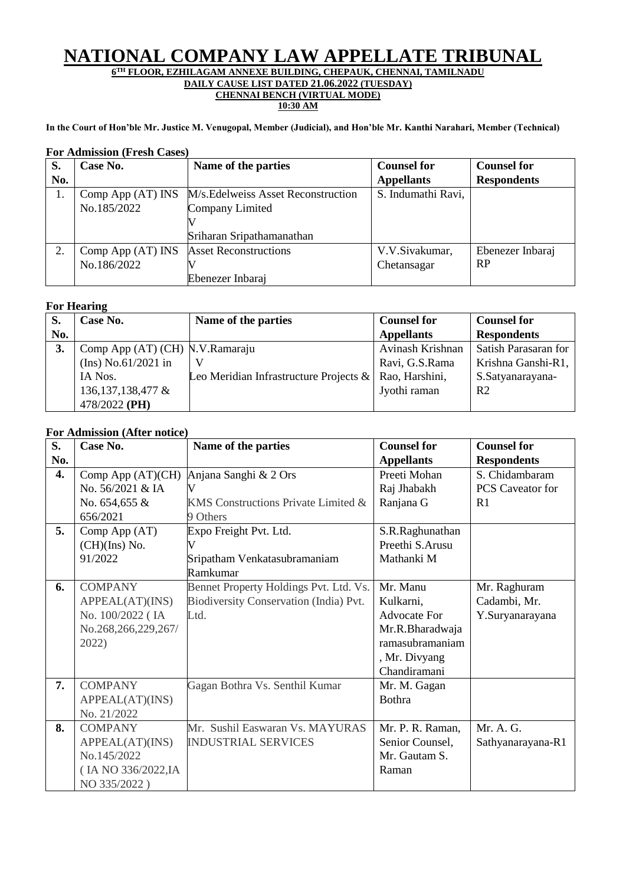# **NATIONAL COMPANY LAW APPELLATE TRIBUNAL**

**6 TH FLOOR, EZHILAGAM ANNEXE BUILDING, CHEPAUK, CHENNAI, TAMILNADU DAILY CAUSE LIST DATED 21.06.2022 (TUESDAY)**

# **CHENNAI BENCH (VIRTUAL MODE)**

**10:30 AM**

**In the Court of Hon'ble Mr. Justice M. Venugopal, Member (Judicial), and Hon'ble Mr. Kanthi Narahari, Member (Technical)**

| S.  | Case No.            | Name of the parties                 | <b>Counsel for</b> | <b>Counsel for</b> |
|-----|---------------------|-------------------------------------|--------------------|--------------------|
| No. |                     |                                     | <b>Appellants</b>  | <b>Respondents</b> |
|     | Comp App $(AT)$ INS | M/s. Edelweiss Asset Reconstruction | S. Indumathi Ravi, |                    |
|     | No.185/2022         | Company Limited                     |                    |                    |
|     |                     |                                     |                    |                    |
|     |                     | Sriharan Sripathamanathan           |                    |                    |
| 2.  | Comp App (AT) INS   | <b>Asset Reconstructions</b>        | V.V.Sivakumar,     | Ebenezer Inbaraj   |
|     | No.186/2022         |                                     | Chetansagar        | <b>RP</b>          |
|     |                     | Ebenezer Inbaraj                    |                    |                    |

#### **For Admission (Fresh Cases)**

### **For Hearing**

|     | $\sim$ 01 AAVWAAME              |                                           |                    |                      |  |
|-----|---------------------------------|-------------------------------------------|--------------------|----------------------|--|
| S.  | Case No.                        | Name of the parties                       | <b>Counsel for</b> | <b>Counsel for</b>   |  |
| No. |                                 |                                           | <b>Appellants</b>  | <b>Respondents</b>   |  |
| 3.  | Comp App (AT) (CH) N.V.Ramaraju |                                           | Avinash Krishnan   | Satish Parasaran for |  |
|     | (Ins) No.61/2021 in             |                                           | Ravi, G.S.Rama     | Krishna Ganshi-R1,   |  |
|     | IA Nos.                         | Leo Meridian Infrastructure Projects $\&$ | Rao, Harshini,     | S.Satyanarayana-     |  |
|     | 136, 137, 138, 477 &            |                                           | Jyothi raman       | R <sub>2</sub>       |  |
|     | 478/2022 (PH)                   |                                           |                    |                      |  |

#### **For Admission (After notice)**

| S.  | r or <i>hammsston</i> ( <i>three notice</i> )<br>Case No. | Name of the parties                    | <b>Counsel for</b>  | <b>Counsel for</b> |
|-----|-----------------------------------------------------------|----------------------------------------|---------------------|--------------------|
| No. |                                                           |                                        | <b>Appellants</b>   | <b>Respondents</b> |
| 4.  | Comp App (AT)(CH)                                         | Anjana Sanghi & 2 Ors                  | Preeti Mohan        | S. Chidambaram     |
|     | No. 56/2021 & IA                                          |                                        | Raj Jhabakh         | PCS Caveator for   |
|     | No. 654,655 &                                             | KMS Constructions Private Limited &    | Ranjana G           | R1                 |
|     | 656/2021                                                  | 9 Others                               |                     |                    |
| 5.  | Comp App (AT)                                             | Expo Freight Pvt. Ltd.                 | S.R.Raghunathan     |                    |
|     | $(CH)(Ins)$ No.                                           |                                        | Preethi S.Arusu     |                    |
|     | 91/2022                                                   | Sripatham Venkatasubramaniam           | Mathanki M          |                    |
|     |                                                           | Ramkumar                               |                     |                    |
| 6.  | <b>COMPANY</b>                                            | Bennet Property Holdings Pvt. Ltd. Vs. | Mr. Manu            | Mr. Raghuram       |
|     | APPEAL(AT)(INS)                                           | Biodiversity Conservation (India) Pvt. | Kulkarni,           | Cadambi, Mr.       |
|     | No. 100/2022 (IA                                          | Ltd.                                   | <b>Advocate For</b> | Y.Suryanarayana    |
|     | No.268,266,229,267/                                       |                                        | Mr.R.Bharadwaja     |                    |
|     | 2022)                                                     |                                        | ramasubramaniam     |                    |
|     |                                                           |                                        | , Mr. Divyang       |                    |
|     |                                                           |                                        | Chandiramani        |                    |
| 7.  | <b>COMPANY</b>                                            | Gagan Bothra Vs. Senthil Kumar         | Mr. M. Gagan        |                    |
|     | APPEAL(AT)(INS)                                           |                                        | <b>Bothra</b>       |                    |
|     | No. 21/2022                                               |                                        |                     |                    |
| 8.  | <b>COMPANY</b>                                            | Mr. Sushil Easwaran Vs. MAYURAS        | Mr. P. R. Raman,    | Mr. A. G.          |
|     | APPEAL(AT)(INS)                                           | <b>INDUSTRIAL SERVICES</b>             | Senior Counsel,     | Sathyanarayana-R1  |
|     | No.145/2022                                               |                                        | Mr. Gautam S.       |                    |
|     | (IA NO 336/2022, IA                                       |                                        | Raman               |                    |
|     | NO 335/2022)                                              |                                        |                     |                    |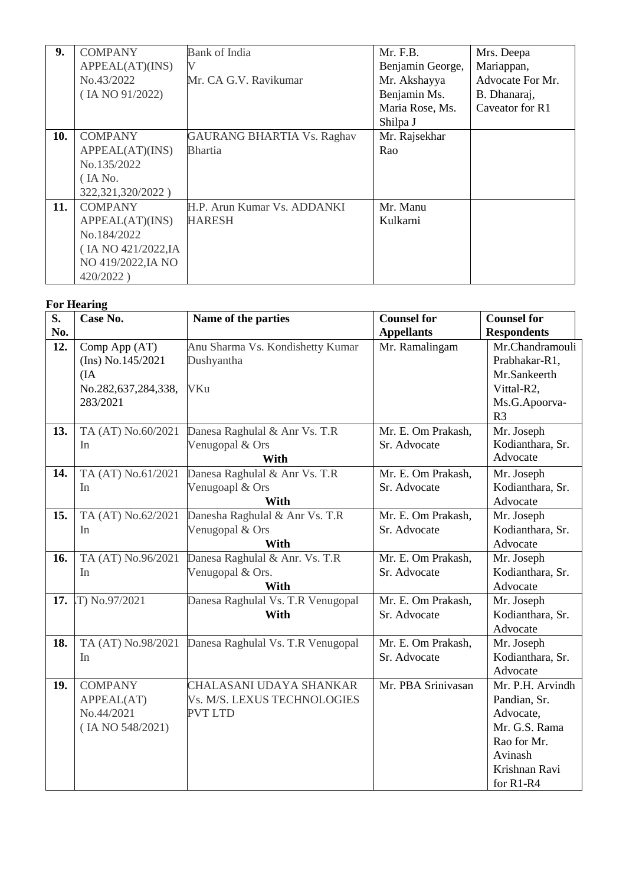| 9.  | <b>COMPANY</b>      | <b>Bank of India</b>              | Mr. F.B.         | Mrs. Deepa       |
|-----|---------------------|-----------------------------------|------------------|------------------|
|     | APPEAL(AT)(INS)     | V                                 | Benjamin George, | Mariappan,       |
|     | No.43/2022          | Mr. CA G.V. Ravikumar             | Mr. Akshayya     | Advocate For Mr. |
|     | (IA NO 91/2022)     |                                   | Benjamin Ms.     | B. Dhanaraj,     |
|     |                     |                                   | Maria Rose, Ms.  | Caveator for R1  |
|     |                     |                                   | Shilpa J         |                  |
| 10. | <b>COMPANY</b>      | <b>GAURANG BHARTIA Vs. Raghav</b> | Mr. Rajsekhar    |                  |
|     | APPEAL(AT)(INS)     | <b>Bhartia</b>                    | Rao              |                  |
|     | No.135/2022         |                                   |                  |                  |
|     | (IA No.             |                                   |                  |                  |
|     | 322, 321, 320/2022) |                                   |                  |                  |
| 11. | <b>COMPANY</b>      | H.P. Arun Kumar Vs. ADDANKI       | Mr. Manu         |                  |
|     | APPEAL(AT)(INS)     | <b>HARESH</b>                     | Kulkarni         |                  |
|     | No.184/2022         |                                   |                  |                  |
|     | (IA NO 421/2022, IA |                                   |                  |                  |
|     | NO 419/2022, JA NO  |                                   |                  |                  |
|     | 420/2022)           |                                   |                  |                  |

## **For Hearing**

| S.  | Case No.            | Name of the parties                | <b>Counsel for</b> | <b>Counsel for</b> |
|-----|---------------------|------------------------------------|--------------------|--------------------|
| No. |                     |                                    | <b>Appellants</b>  | <b>Respondents</b> |
| 12. | Comp App (AT)       | Anu Sharma Vs. Kondishetty Kumar   | Mr. Ramalingam     | Mr.Chandramouli    |
|     | (Ins) No.145/2021   | Dushyantha                         |                    | Prabhakar-R1,      |
|     | (IA)                |                                    |                    | Mr.Sankeerth       |
|     | No.282,637,284,338, | <b>VKu</b>                         |                    | Vittal-R2,         |
|     | 283/2021            |                                    |                    | Ms.G.Apoorva-      |
|     |                     |                                    |                    | R <sub>3</sub>     |
| 13. | TA (AT) No.60/2021  | Danesa Raghulal & Anr Vs. T.R      | Mr. E. Om Prakash, | Mr. Joseph         |
|     | In                  | Venugopal & Ors                    | Sr. Advocate       | Kodianthara, Sr.   |
|     |                     | With                               |                    | Advocate           |
| 14. | TA (AT) No.61/2021  | Danesa Raghulal & Anr Vs. T.R      | Mr. E. Om Prakash, | Mr. Joseph         |
|     | In                  | Venugoapl & Ors                    | Sr. Advocate       | Kodianthara, Sr.   |
|     |                     | With                               |                    | Advocate           |
| 15. | TA (AT) No.62/2021  | Danesha Raghulal & Anr Vs. T.R     | Mr. E. Om Prakash, | Mr. Joseph         |
|     | In                  | Venugopal & Ors                    | Sr. Advocate       | Kodianthara, Sr.   |
|     |                     | With                               |                    | Advocate           |
| 16. | TA (AT) No.96/2021  | Danesa Raghulal & Anr. Vs. T.R     | Mr. E. Om Prakash, | Mr. Joseph         |
|     | In                  | Venugopal & Ors.                   | Sr. Advocate       | Kodianthara, Sr.   |
|     |                     | With                               |                    | Advocate           |
|     | 17. T) No.97/2021   | Danesa Raghulal Vs. T.R Venugopal  | Mr. E. Om Prakash, | Mr. Joseph         |
|     |                     | With                               | Sr. Advocate       | Kodianthara, Sr.   |
|     |                     |                                    |                    | Advocate           |
| 18. | TA (AT) No.98/2021  | Danesa Raghulal Vs. T.R Venugopal  | Mr. E. Om Prakash, | Mr. Joseph         |
|     | In                  |                                    | Sr. Advocate       | Kodianthara, Sr.   |
|     |                     |                                    |                    | Advocate           |
| 19. | <b>COMPANY</b>      | CHALASANI UDAYA SHANKAR            | Mr. PBA Srinivasan | Mr. P.H. Arvindh   |
|     | APPEAL(AT)          | <b>Vs. M/S. LEXUS TECHNOLOGIES</b> |                    | Pandian, Sr.       |
|     | No.44/2021          | <b>PVT LTD</b>                     |                    | Advocate,          |
|     | (IA NO 548/2021)    |                                    |                    | Mr. G.S. Rama      |
|     |                     |                                    |                    | Rao for Mr.        |
|     |                     |                                    |                    | Avinash            |
|     |                     |                                    |                    | Krishnan Ravi      |
|     |                     |                                    |                    | for R1-R4          |